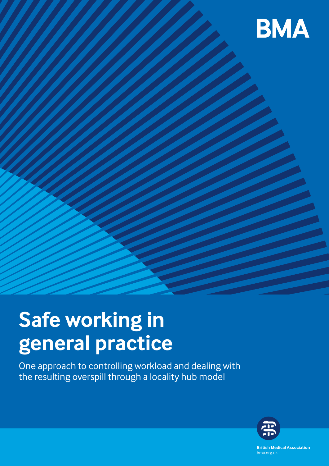

# **Safe working in general practice**

One approach to controlling workload and dealing with the resulting overspill through a locality hub model



**British Medical Association** bma.org.uk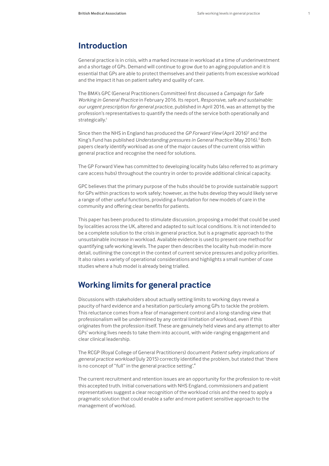# **Introduction**

General practice is in crisis, with a marked increase in workload at a time of underinvestment and a shortage of GPs. Demand will continue to grow due to an aging population and it is essential that GPs are able to protect themselves and their patients from excessive workload and the impact it has on patient safety and quality of care.

The BMA's GPC (General Practitioners Committee) first discussed a *Campaign for Safe Working in General Practice* in February 2016. Its report, *Responsive, safe and sustainable: our urgent prescription for general practice*, published in April 2016, was an attempt by the profession's representatives to quantify the needs of the service both operationally and strategically.<sup>1</sup>

Since then the NHS in England has produced the GP Forward View (April 2016)<sup>2</sup> and the King's Fund has published Understanding pressures in General Practice (May 2016).<sup>3</sup> Both papers clearly identify workload as one of the major causes of the current crisis within general practice and recognise the need for solutions.

The GP Forward View has committed to developing locality hubs (also referred to as primary care access hubs) throughout the country in order to provide additional clinical capacity.

GPC believes that the primary purpose of the hubs should be to provide sustainable support for GPs within practices to work safely; however, as the hubs develop they would likely serve a range of other useful functions, providing a foundation for new models of care in the community and offering clear benefits for patients.

This paper has been produced to stimulate discussion, proposing a model that could be used by localities across the UK, altered and adapted to suit local conditions. It is not intended to be a complete solution to the crisis in general practice, but is a pragmatic approach to the unsustainable increase in workload. Available evidence is used to present one method for quantifying safe working levels. The paper then describes the locality hub model in more detail, outlining the concept in the context of current service pressures and policy priorities. It also raises a variety of operational considerations and highlights a small number of case studies where a hub model is already being trialled.

# **Working limits for general practice**

Discussions with stakeholders about actually setting limits to working days reveal a paucity of hard evidence and a hesitation particularly among GPs to tackle the problem. This reluctance comes from a fear of management control and a long-standing view that professionalism will be undermined by any central limitation of workload, even if this originates from the profession itself. These are genuinely held views and any attempt to alter GPs' working lives needs to take them into account, with wide-ranging engagement and clear clinical leadership.

The RCGP (Royal College of General Practitioners) document *Patient safety implications of general practice workload* (July 2015) correctly identified the problem, but stated that 'there is no concept of "full" in the general practice setting'.<sup>4</sup>

The current recruitment and retention issues are an opportunity for the profession to re-visit this accepted truth. Initial conversations with NHS England, commissioners and patient representatives suggest a clear recognition of the workload crisis and the need to apply a pragmatic solution that could enable a safer and more patient sensitive approach to the management of workload.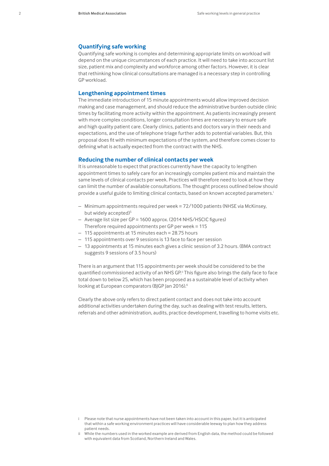### **Quantifying safe working**

Quantifying safe working is complex and determining appropriate limits on workload will depend on the unique circumstances of each practice. It will need to take into account list size, patient mix and complexity and workforce among other factors. However, it is clear that rethinking how clinical consultations are managed is a necessary step in controlling GP workload.

### **Lengthening appointment times**

The immediate introduction of 15 minute appointments would allow improved decision making and case management, and should reduce the administrative burden outside clinic times by facilitating more activity within the appointment. As patients increasingly present with more complex conditions, longer consultation times are necessary to ensure safe and high quality patient care. Clearly clinics, patients and doctors vary in their needs and expectations, and the use of telephone triage further adds to potential variables. But, this proposal does fit with minimum expectations of the system, and therefore comes closer to defining what is actually expected from the contract with the NHS.

### **Reducing the number of clinical contacts per week**

It is unreasonable to expect that practices currently have the capacity to lengthen appointment times to safely care for an increasingly complex patient mix and maintain the same levels of clinical contacts per week. Practices will therefore need to look at how they can limit the number of available consultations. The thought process outlined below should provide a useful guide to limiting clinical contacts, based on known accepted parameters.<sup>i</sup>

- Minimum appointments required per week = 72/1000 patients (NHSE via McKinsey, but widely accepted)<sup>5</sup>
- Average list size per GP = 1600 approx. (2014 NHS/HSCIC figures) Therefore required appointments per GP per week = 115
- 115 appointments at 15 minutes each = 28.75 hours
- 115 appointments over 9 sessions is 13 face to face per session
- 13 appointments at 15 minutes each gives a clinic session of 3.2 hours. (BMA contract suggests 9 sessions of 3.5 hours)

There is an argument that 115 appointments per week should be considered to be the quantified commissioned activity of an NHS GP.<sup>ii</sup> This figure also brings the daily face to face total down to below 25, which has been proposed as a sustainable level of activity when looking at European comparators (BJGP Jan 2016).<sup>6</sup>

Clearly the above only refers to direct patient contact and does not take into account additional activities undertaken during the day, such as dealing with test results, letters, referrals and other administration, audits, practice development, travelling to home visits etc.

i Please note that nurse appointments have not been taken into account in this paper, but it is anticipated that within a safe working environment practices will have considerable leeway to plan how they address patient needs.

ii While the numbers used in the worked example are derived from English data, the method could be followed with equivalent data from Scotland, Northern Ireland and Wales.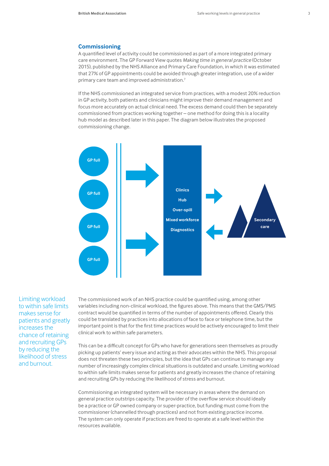### **Commissioning**

A quantified level of activity could be commissioned as part of a more integrated primary care environment. The GP Forward View quotes *Making time in general practice* (October 2015), published by the NHS Alliance and Primary Care Foundation, in which it was estimated that 27% of GP appointments could be avoided through greater integration, use of a wider primary care team and improved administration.7

If the NHS commissioned an integrated service from practices, with a modest 20% reduction in GP activity, both patients and clinicians might improve their demand management and focus more accurately on actual clinical need. The excess demand could then be separately commissioned from practices working together – one method for doing this is a locality hub model as described later in this paper. The diagram below illustrates the proposed commissioning change.



Limiting workload to within safe limits makes sense for patients and greatly increases the chance of retaining and recruiting GPs by reducing the likelihood of stress and burnout.

The commissioned work of an NHS practice could be quantified using, among other variables including non-clinical workload, the figures above. This means that the GMS/PMS contract would be quantified in terms of the number of appointments offered. Clearly this could be translated by practices into allocations of face to face or telephone time, but the important point is that for the first time practices would be actively encouraged to limit their clinical work to within safe parameters.

This can be a difficult concept for GPs who have for generations seen themselves as proudly picking up patients' every issue and acting as their advocates within the NHS. This proposal does not threaten these two principles, but the idea that GPs can continue to manage any number of increasingly complex clinical situations is outdated and unsafe. Limiting workload to within safe limits makes sense for patients and greatly increases the chance of retaining and recruiting GPs by reducing the likelihood of stress and burnout.

Commissioning an integrated system will be necessary in areas where the demand on general practice outstrips capacity. The provider of the overflow service should ideally be a practice or GP owned company or super-practice, but funding must come from the commissioner (channelled through practices) and not from existing practice income. The system can only operate if practices are freed to operate at a safe level within the resources available.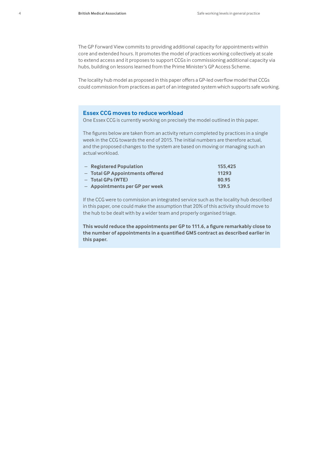The GP Forward View commits to providing additional capacity for appointments within core and extended hours. It promotes the model of practices working collectively at scale to extend access and it proposes to support CCGs in commissioning additional capacity via hubs, building on lessons learned from the Prime Minister's GP Access Scheme.

The locality hub model as proposed in this paper offers a GP-led overflow model that CCGs could commission from practices as part of an integrated system which supports safe working.

### **Essex CCG moves to reduce workload**

One Essex CCG is currently working on precisely the model outlined in this paper.

The figures below are taken from an activity return completed by practices in a single week in the CCG towards the end of 2015. The initial numbers are therefore actual, and the proposed changes to the system are based on moving or managing such an actual workload.

| - Registered Population         | 155.425 |
|---------------------------------|---------|
| - Total GP Appointments offered | 11293   |
| - Total GPs (WTE)               | 80.95   |
| - Appointments per GP per week  | 139.5   |

If the CCG were to commission an integrated service such as the locality hub described in this paper, one could make the assumption that 20% of this activity should move to the hub to be dealt with by a wider team and properly organised triage.

**This would reduce the appointments per GP to 111.6, a figure remarkably close to the number of appointments in a quantified GMS contract as described earlier in this paper.**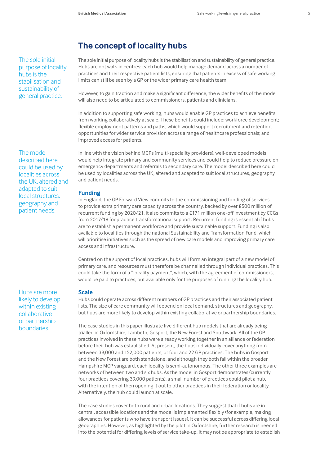# **The concept of locality hubs**

The sole initial purpose of locality hubs is the stabilisation and sustainability of general practice.

The model described here could be used by localities across the UK, altered and adapted to suit local structures, geography and patient needs.

Hubs are more likely to develop within existing collaborative or partnership boundaries.

The sole initial purpose of locality hubs is the stabilisation and sustainability of general practice. Hubs are not walk-in centres: each hub would help manage demand across a number of practices and their respective patient lists, ensuring that patients in excess of safe working limits can still be seen by a GP or the wider primary care health team.

However, to gain traction and make a significant difference, the wider benefits of the model will also need to be articulated to commissioners, patients and clinicians.

In addition to supporting safe working, hubs would enable GP practices to achieve benefits from working collaboratively at scale. These benefits could include: workforce development; flexible employment patterns and paths, which would support recruitment and retention; opportunities for wider service provision across a range of healthcare professionals; and improved access for patients.

In line with the vision behind MCPs (multi-speciality providers), well-developed models would help integrate primary and community services and could help to reduce pressure on emergency departments and referrals to secondary care. The model described here could be used by localities across the UK, altered and adapted to suit local structures, geography and patient needs.

### **Funding**

In England, the GP Forward View commits to the commissioning and funding of services to provide extra primary care capacity across the country, backed by over £500 million of recurrent funding by 2020/21. It also commits to a £171 million one-off investment by CCGs from 2017/18 for practice transformational support. Recurrent funding is essential if hubs are to establish a permanent workforce and provide sustainable support. Funding is also available to localities through the national Sustainability and Transformation Fund, which will prioritise initiatives such as the spread of new care models and improving primary care access and infrastructure.

Centred on the support of local practices, hubs will form an integral part of a new model of primary care, and resources must therefore be channelled through individual practices. This could take the form of a "locality payment", which, with the agreement of commissioners, would be paid to practices, but available only for the purposes of running the locality hub.

### **Scale**

Hubs could operate across different numbers of GP practices and their associated patient lists. The size of care community will depend on local demand, structures and geography, but hubs are more likely to develop within existing collaborative or partnership boundaries.

The case studies in this paper illustrate five different hub models that are already being trialled in Oxfordshire, Lambeth, Gosport, the New Forest and Southwark. All of the GP practices involved in these hubs were already working together in an alliance or federation before their hub was established. At present, the hubs individually cover anything from between 39,000 and 152,000 patients, or four and 22 GP practices. The hubs in Gosport and the New Forest are both standalone, and although they both fall within the broader Hampshire MCP vanguard, each locality is semi-autonomous. The other three examples are networks of between two and six hubs. As the model in Gosport demonstrates (currently four practices covering 39,000 patients), a small number of practices could pilot a hub, with the intention of then opening it out to other practices in their federation or locality. Alternatively, the hub could launch at scale.

The case studies cover both rural and urban locations. They suggest that if hubs are in central, accessible locations and the model is implemented flexibly (for example, making allowances for patients who have transport issues), it can be successful across differing local geographies. However, as highlighted by the pilot in Oxfordshire, further research is needed into the potential for differing levels of service take-up. It may not be appropriate to establish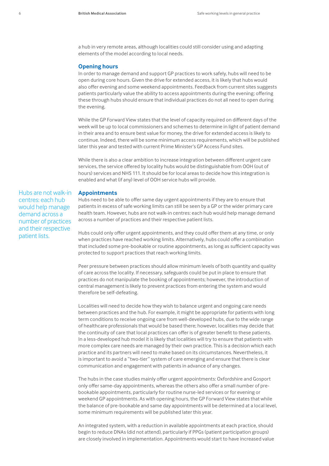a hub in very remote areas, although localities could still consider using and adapting elements of the model according to local needs.

### **Opening hours**

In order to manage demand and support GP practices to work safely, hubs will need to be open during core hours. Given the drive for extended access, it is likely that hubs would also offer evening and some weekend appointments. Feedback from current sites suggests patients particularly value the ability to access appointments during the evening; offering these through hubs should ensure that individual practices do not all need to open during the evening.

While the GP Forward View states that the level of capacity required on different days of the week will be up to local commissioners and schemes to determine in light of patient demand in their area and to ensure best value for money, the drive for extended access is likely to continue. Indeed, there will be some minimum access requirements, which will be published later this year and tested with current Prime Minister's GP Access Fund sites.

While there is also a clear ambition to increase integration between different urgent care services, the service offered by locality hubs would be distinguishable from OOH (out of hours) services and NHS 111. It should be for local areas to decide how this integration is enabled and what (if any) level of OOH service hubs will provide.

### **Appointments**

Hubs are not walk-in centres: each hub would help manage demand across a number of practices and their respective patient lists.

Hubs need to be able to offer same day urgent appointments if they are to ensure that patients in excess of safe working limits can still be seen by a GP or the wider primary care health team. However, hubs are not walk-in centres: each hub would help manage demand across a number of practices and their respective patient lists.

Hubs could only offer urgent appointments, and they could offer them at any time, or only when practices have reached working limits. Alternatively, hubs could offer a combination that included some pre-bookable or routine appointments, as long as sufficient capacity was protected to support practices that reach working limits.

Peer pressure between practices should allow minimum levels of both quantity and quality of care across the locality. If necessary, safeguards could be put in place to ensure that practices do not manipulate the booking of appointments; however, the introduction of central management is likely to prevent practices from entering the system and would therefore be self-defeating.

Localities will need to decide how they wish to balance urgent and ongoing care needs between practices and the hub. For example, it might be appropriate for patients with long term conditions to receive ongoing care from well-developed hubs, due to the wide range of healthcare professionals that would be based there; however, localities may decide that the continuity of care that local practices can offer is of greater benefit to these patients. In a less-developed hub model it is likely that localities will try to ensure that patients with more complex care needs are managed by their own practice. This is a decision which each practice and its partners will need to make based on its circumstances. Nevertheless, it is important to avoid a "two-tier" system of care emerging and ensure that there is clear communication and engagement with patients in advance of any changes.

The hubs in the case studies mainly offer urgent appointments: Oxfordshire and Gosport only offer same-day appointments, whereas the others also offer a small number of prebookable appointments, particularly for routine nurse-led services or for evening or weekend GP appointments. As with opening hours, the GP Forward View states that while the balance of pre-bookable and same day appointments will be determined at a local level, some minimum requirements will be published later this year.

An integrated system, with a reduction in available appointments at each practice, should begin to reduce DNAs (did not attend), particularly if PPGs (patient participation groups) are closely involved in implementation. Appointments would start to have increased value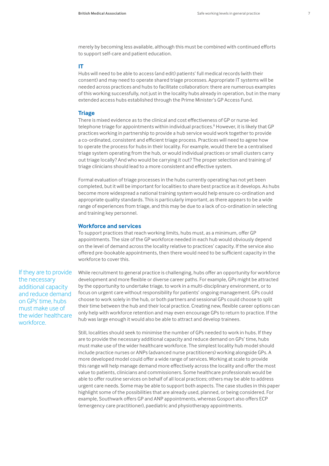merely by becoming less available, although this must be combined with continued efforts to support self-care and patient education.

### **IT**

Hubs will need to be able to access (and edit) patients' full medical records (with their consent) and may need to operate shared triage processes. Appropriate IT systems will be needed across practices and hubs to facilitate collaboration: there are numerous examples of this working successfully, not just in the locality hubs already in operation, but in the many extended access hubs established through the Prime Minister's GP Access Fund.

### **Triage**

There is mixed evidence as to the clinical and cost effectiveness of GP or nurse-led telephone triage for appointments within individual practices.<sup>8</sup> However, it is likely that GP practices working in partnership to provide a hub service would work together to provide a co-ordinated, consistent and efficient triage process. Practices will need to agree how to operate the process for hubs in their locality. For example, would there be a centralised triage system operating from the hub, or would individual practices or small clusters carry out triage locally? And who would be carrying it out? The proper selection and training of triage clinicians should lead to a more consistent and effective system.

Formal evaluation of triage processes in the hubs currently operating has not yet been completed, but it will be important for localities to share best practice as it develops. As hubs become more widespread a national training system would help ensure co-ordination and appropriate quality standards. This is particularly important, as there appears to be a wide range of experiences from triage, and this may be due to a lack of co-ordination in selecting and training key personnel.

### **Workforce and services**

To support practices that reach working limits, hubs must, as a minimum, offer GP appointments. The size of the GP workforce needed in each hub would obviously depend on the level of demand across the locality relative to practices' capacity. If the service also offered pre-bookable appointments, then there would need to be sufficient capacity in the workforce to cover this.

If they are to provide the necessary additional capacity and reduce demand on GPs' time, hubs must make use of the wider healthcare workforce.

While recruitment to general practice is challenging, hubs offer an opportunity for workforce development and more flexible or diverse career paths. For example, GPs might be attracted by the opportunity to undertake triage, to work in a multi-disciplinary environment, or to focus on urgent care without responsibility for patients' ongoing management. GPs could choose to work solely in the hub, or both partners and sessional GPs could choose to split their time between the hub and their local practice. Creating new, flexible career options can only help with workforce retention and may even encourage GPs to return to practice. If the hub was large enough it would also be able to attract and develop trainees.

Still, localities should seek to minimise the number of GPs needed to work in hubs. If they are to provide the necessary additional capacity and reduce demand on GPs' time, hubs must make use of the wider healthcare workforce. The simplest locality hub model should include practice nurses or ANPs (advanced nurse practitioners) working alongside GPs. A more developed model could offer a wide range of services. Working at scale to provide this range will help manage demand more effectively across the locality and offer the most value to patients, clinicians and commissioners. Some healthcare professionals would be able to offer routine services on behalf of all local practices; others may be able to address urgent care needs. Some may be able to support both aspects. The case studies in this paper highlight some of the possibilities that are already used, planned, or being considered. For example, Southwark offers GP and ANP appointments, whereas Gosport also offers ECP (emergency care practitioner), paediatric and physiotherapy appointments.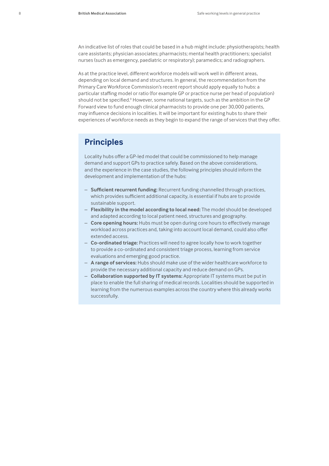An indicative list of roles that could be based in a hub might include: physiotherapists; health care assistants; physician associates; pharmacists; mental health practitioners; specialist nurses (such as emergency, paediatric or respiratory); paramedics; and radiographers.

As at the practice level, different workforce models will work well in different areas, depending on local demand and structures. In general, the recommendation from the Primary Care Workforce Commission's recent report should apply equally to hubs: a particular staffing model or ratio (for example GP or practice nurse per head of population) should not be specified.<sup>9</sup> However, some national targets, such as the ambition in the GP Forward view to fund enough clinical pharmacists to provide one per 30,000 patients, may influence decisions in localities. It will be important for existing hubs to share their experiences of workforce needs as they begin to expand the range of services that they offer.

# **Principles**

Locality hubs offer a GP-led model that could be commissioned to help manage demand and support GPs to practice safely. Based on the above considerations, and the experience in the case studies, the following principles should inform the development and implementation of the hubs:

- **Sufficient recurrent funding:** Recurrent funding channelled through practices, which provides sufficient additional capacity, is essential if hubs are to provide sustainable support.
- **Flexibility in the model according to local need:** The model should be developed and adapted according to local patient need, structures and geography.
- **Core opening hours:** Hubs must be open during core hours to effectively manage workload across practices and, taking into account local demand, could also offer extended access.
- **Co-ordinated triage:** Practices will need to agree locally how to work together to provide a co-ordinated and consistent triage process, learning from service evaluations and emerging good practice.
- **A range of services:** Hubs should make use of the wider healthcare workforce to provide the necessary additional capacity and reduce demand on GPs.
- **Collaboration supported by IT systems:** Appropriate IT systems must be put in place to enable the full sharing of medical records. Localities should be supported in learning from the numerous examples across the country where this already works successfully.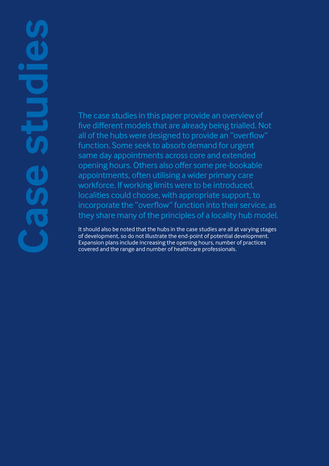# **ase studies**

The case studies in this paper provide an overview of five different models that are already being trialled. Not all of the hubs were designed to provide an "overflow" function. Some seek to absorb demand for urgent same day appointments across core and extended opening hours. Others also offer some pre-bookable appointments, often utilising a wider primary care workforce. If working limits were to be introduced, localities could choose, with appropriate support, to incorporate the "overflow" function into their service, as they share many of the principles of a locality hub model.

It should also be noted that the hubs in the case studies are all at varying stages of development, so do not illustrate the end-point of potential development. Expansion plans include increasing the opening hours, number of practices covered and the range and number of healthcare professionals.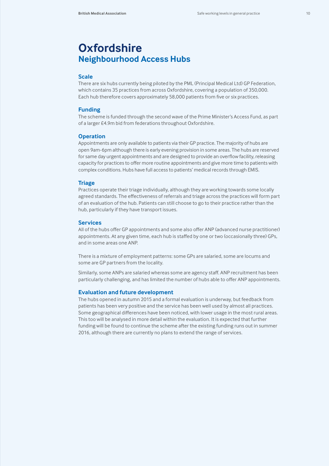# **Oxfordshire Neighbourhood Access Hubs**

### **Scale**

There are six hubs currently being piloted by the PML (Principal Medical Ltd) GP Federation, which contains 35 practices from across Oxfordshire, covering a population of 350,000. Each hub therefore covers approximately 58,000 patients from five or six practices.

### **Funding**

The scheme is funded through the second wave of the Prime Minister's Access Fund, as part of a larger £4.9m bid from federations throughout Oxfordshire.

### **Operation**

Appointments are only available to patients via their GP practice. The majority of hubs are open 9am-6pm although there is early evening provision in some areas. The hubs are reserved for same day urgent appointments and are designed to provide an overflow facility, releasing capacity for practices to offer more routine appointments and give more time to patients with complex conditions. Hubs have full access to patients' medical records through EMIS.

### **Triage**

Practices operate their triage individually, although they are working towards some locally agreed standards. The effectiveness of referrals and triage across the practices will form part of an evaluation of the hub. Patients can still choose to go to their practice rather than the hub, particularly if they have transport issues.

### **Services**

All of the hubs offer GP appointments and some also offer ANP (advanced nurse practitioner) appointments. At any given time, each hub is staffed by one or two (occasionally three) GPs, and in some areas one ANP.

There is a mixture of employment patterns: some GPs are salaried, some are locums and some are GP partners from the locality.

Similarly, some ANPs are salaried whereas some are agency staff. ANP recruitment has been particularly challenging, and has limited the number of hubs able to offer ANP appointments.

### **Evaluation and future development**

The hubs opened in autumn 2015 and a formal evaluation is underway, but feedback from patients has been very positive and the service has been well used by almost all practices. Some geographical differences have been noticed, with lower usage in the most rural areas. This too will be analysed in more detail within the evaluation. It is expected that further funding will be found to continue the scheme after the existing funding runs out in summer 2016, although there are currently no plans to extend the range of services.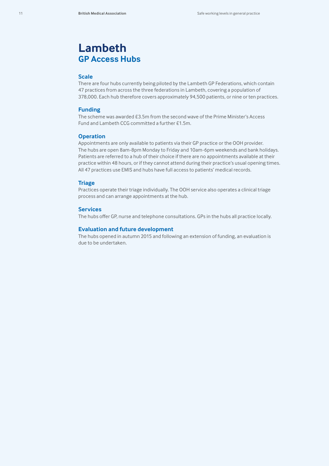# **Lambeth GP Access Hubs**

### **Scale**

There are four hubs currently being piloted by the Lambeth GP Federations, which contain 47 practices from across the three federations in Lambeth, covering a population of 378,000. Each hub therefore covers approximately 94,500 patients, or nine or ten practices.

### **Funding**

The scheme was awarded £3.5m from the second wave of the Prime Minister's Access Fund and Lambeth CCG committed a further £1.5m.

### **Operation**

Appointments are only available to patients via their GP practice or the OOH provider. The hubs are open 8am-8pm Monday to Friday and 10am-6pm weekends and bank holidays. Patients are referred to a hub of their choice if there are no appointments available at their practice within 48 hours, or if they cannot attend during their practice's usual opening times. All 47 practices use EMIS and hubs have full access to patients' medical records.

### **Triage**

Practices operate their triage individually. The OOH service also operates a clinical triage process and can arrange appointments at the hub.

### **Services**

The hubs offer GP, nurse and telephone consultations. GPs in the hubs all practice locally.

### **Evaluation and future development**

The hubs opened in autumn 2015 and following an extension of funding, an evaluation is due to be undertaken.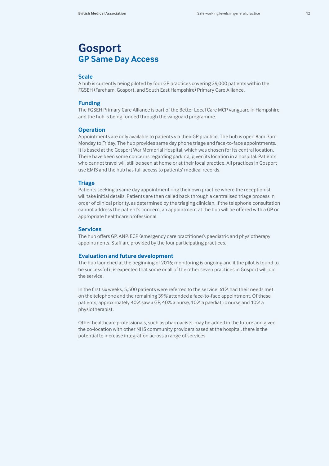# **Gosport GP Same Day Access**

### **Scale**

A hub is currently being piloted by four GP practices covering 39,000 patients within the FGSEH (Fareham, Gosport, and South East Hampshire) Primary Care Alliance.

### **Funding**

The FGSEH Primary Care Alliance is part of the Better Local Care MCP vanguard in Hampshire and the hub is being funded through the vanguard programme.

### **Operation**

Appointments are only available to patients via their GP practice. The hub is open 8am-7pm Monday to Friday. The hub provides same day phone triage and face-to-face appointments. It is based at the Gosport War Memorial Hospital, which was chosen for its central location. There have been some concerns regarding parking, given its location in a hospital. Patients who cannot travel will still be seen at home or at their local practice. All practices in Gosport use EMIS and the hub has full access to patients' medical records.

### **Triage**

Patients seeking a same day appointment ring their own practice where the receptionist will take initial details. Patients are then called back through a centralised triage process in order of clinical priority, as determined by the triaging clinician. If the telephone consultation cannot address the patient's concern, an appointment at the hub will be offered with a GP or appropriate healthcare professional.

### **Services**

The hub offers GP, ANP, ECP (emergency care practitioner), paediatric and physiotherapy appointments. Staff are provided by the four participating practices.

### **Evaluation and future development**

The hub launched at the beginning of 2016; monitoring is ongoing and if the pilot is found to be successful it is expected that some or all of the other seven practices in Gosport will join the service.

In the first six weeks, 5,500 patients were referred to the service: 61% had their needs met on the telephone and the remaining 39% attended a face-to-face appointment. Of these patients, approximately 40% saw a GP, 40% a nurse, 10% a paediatric nurse and 10% a physiotherapist.

Other healthcare professionals, such as pharmacists, may be added in the future and given the co-location with other NHS community providers based at the hospital, there is the potential to increase integration across a range of services.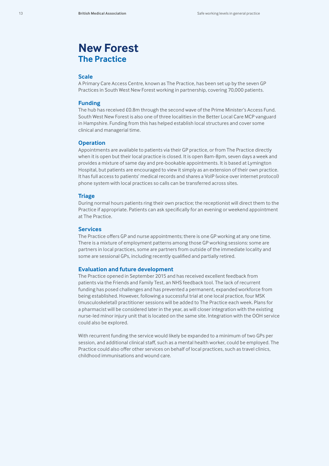# **New Forest The Practice**

### **Scale**

A Primary Care Access Centre, known as The Practice, has been set up by the seven GP Practices in South West New Forest working in partnership, covering 70,000 patients.

### **Funding**

The hub has received £0.8m through the second wave of the Prime Minister's Access Fund. South West New Forest is also one of three localities in the Better Local Care MCP vanguard in Hampshire. Funding from this has helped establish local structures and cover some clinical and managerial time.

### **Operation**

Appointments are available to patients via their GP practice, or from The Practice directly when it is open but their local practice is closed. It is open 8am-8pm, seven days a week and provides a mixture of same day and pre-bookable appointments. It is based at Lymington Hospital, but patients are encouraged to view it simply as an extension of their own practice. It has full access to patients' medical records and shares a VoIP (voice over internet protocol) phone system with local practices so calls can be transferred across sites.

### **Triage**

During normal hours patients ring their own practice; the receptionist will direct them to the Practice if appropriate. Patients can ask specifically for an evening or weekend appointment at The Practice.

### **Services**

The Practice offers GP and nurse appointments; there is one GP working at any one time. There is a mixture of employment patterns among those GP working sessions: some are partners in local practices, some are partners from outside of the immediate locality and some are sessional GPs, including recently qualified and partially retired.

### **Evaluation and future development**

The Practice opened in September 2015 and has received excellent feedback from patients via the Friends and Family Test, an NHS feedback tool. The lack of recurrent funding has posed challenges and has prevented a permanent, expanded workforce from being established. However, following a successful trial at one local practice, four MSK (musculoskeletal) practitioner sessions will be added to The Practice each week. Plans for a pharmacist will be considered later in the year, as will closer integration with the existing nurse-led minor injury unit that is located on the same site. Integration with the OOH service could also be explored.

With recurrent funding the service would likely be expanded to a minimum of two GPs per session, and additional clinical staff, such as a mental health worker, could be employed. The Practice could also offer other services on behalf of local practices, such as travel clinics, childhood immunisations and wound care.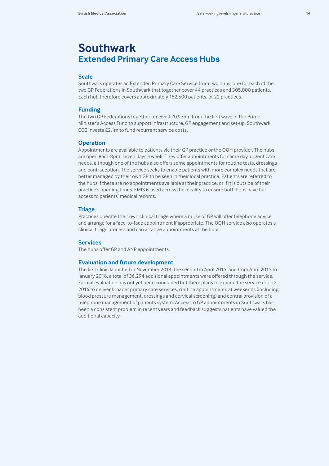# **Southwark Extended Primary Care Access Hubs**

### **Scale**

Southwark operates an Extended Primary Care Service from two hubs, one for each of the two GP Federations in Southwark that together cover 44 practices and 305,000 patients. Each hub therefore covers approximately 152,500 patients, or 22 practices.

### **Funding**

The two GP Federations together received £0.975m from the first wave of the Prime Minister's Access Fund to support infrastructure, GP engagement and set-up. Southwark CCG invests £2.1m to fund recurrent service costs.

### **Operation**

Appointments are available to patients via their GP practice or the OOH provider. The hubs are open 8am-8pm, seven days a week. They offer appointments for same day, urgent care needs, although one of the hubs also offers some appointments for routine tests, dressings and contraception. The service seeks to enable patients with more complex needs that are better managed by their own GP to be seen in their local practice. Patients are referred to the hubs if there are no appointments available at their practice, or if it is outside of their practice's opening times. EMIS is used across the locality to ensure both hubs have full access to patients' medical records.

### **Triage**

Practices operate their own clinical triage where a nurse or GP will offer telephone advice and arrange for a face-to-face appointment if appropriate. The OOH service also operates a clinical triage process and can arrange appointments at the hubs.

### **Services**

The hubs offer GP and ANP appointments.

### **Evaluation and future development**

The first clinic launched in November 2014, the second in April 2015, and from April 2015 to January 2016, a total of 36,294 additional appointments were offered through the service. Formal evaluation has not yet been concluded but there plans to expand the service during 2016 to deliver broader primary care services, routine appointments at weekends (including blood pressure management, dressings and cervical screening) and central provision of a telephone management of patients system. Access to GP appointments in Southwark has been a consistent problem in recent years and feedback suggests patients have valued the additional capacity.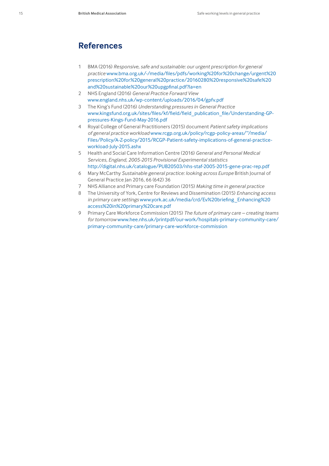## **References**

- 1 BMA (2016) *Responsive, safe and sustainable: our urgent prescription for general practice* www.bma.org.uk/-/media/files/pdfs/working%20for%20change/urgent%20 prescription%20for%20general%20practice/20160280%20responsive%20safe%20 and%20sustainable%20our%20upgpfinal.pdf?la=en
- 2 NHS England (2016) *General Practice Forward View* www.england.nhs.uk/wp-content/uploads/2016/04/gpfv.pdf
- 3 The King's Fund (2016) *Understanding pressures in General Practice* www.kingsfund.org.uk/sites/files/kf/field/field\_publication\_file/Understanding-GPpressures-Kings-Fund-May-2016.pdf
- 4 Royal College of General Practitioners (2015) document *Patient safety implications of general practice workload* www.rcgp.org.uk/policy/rcgp-policy-areas/~/media/ Files/Policy/A-Z-policy/2015/RCGP-Patient-safety-implications-of-general-practiceworkload-July-2015.ashx
- 5 Health and Social Care Information Centre (2016) *General and Personal Medical Services, England, 2005-2015 Provisional Experimental statistics* http://digital.nhs.uk/catalogue/PUB20503/nhs-staf-2005-2015-gene-prac-rep.pdf
- 6 Mary McCarthy *Sustainable general practice: looking across Europe* British Journal of General Practice Jan 2016, 66 (642) 36
- 7 NHS Alliance and Primary care Foundation (2015) *Making time in general practice*
- 8 The University of York, Centre for Reviews and Dissemination (2015) *Enhancing access in primary care settings* www.york.ac.uk/media/crd/Ev%20briefing\_Enhancing%20 access%20in%20primary%20care.pdf
- 9 Primary Care Workforce Commission (2015) *The future of primary care creating teams for tomorrow* www.hee.nhs.uk/printpdf/our-work/hospitals-primary-community-care/ primary-community-care/primary-care-workforce-commission